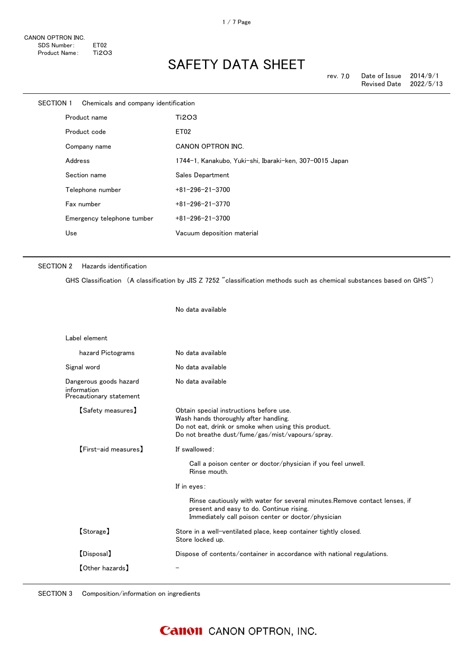| SECTION 1 | Chemicals and company identification |                                                         |
|-----------|--------------------------------------|---------------------------------------------------------|
|           | Product name                         | Ti2O3                                                   |
|           | Product code                         | ET <sub>02</sub>                                        |
|           | Company name                         | <b>CANON OPTRON INC.</b>                                |
|           | Address                              | 1744-1, Kanakubo, Yuki-shi, Ibaraki-ken, 307-0015 Japan |
|           | Section name                         | Sales Department                                        |
|           | Telephone number                     | $+81 - 296 - 21 - 3700$                                 |
|           | Fax number                           | $+81 - 296 - 21 - 3770$                                 |
|           | Emergency telephone tumber           | $+81 - 296 - 21 - 3700$                                 |
|           | Use                                  | Vacuum deposition material                              |

#### SECTION 2 Hazards identification

GHS Classification (A classification by JIS Z 7252 "classification methods such as chemical substances based on GHS")

No data available

| Label element                                                    |                                                                                                                                                                                                                                                                                              |
|------------------------------------------------------------------|----------------------------------------------------------------------------------------------------------------------------------------------------------------------------------------------------------------------------------------------------------------------------------------------|
| hazard Pictograms                                                | No data available                                                                                                                                                                                                                                                                            |
| Signal word                                                      | No data available                                                                                                                                                                                                                                                                            |
| Dangerous goods hazard<br>information<br>Precautionary statement | No data available                                                                                                                                                                                                                                                                            |
| 【Safety measures】                                                | Obtain special instructions before use.<br>Wash hands thoroughly after handling.<br>Do not eat, drink or smoke when using this product.<br>Do not breathe dust/fume/gas/mist/vapours/spray.                                                                                                  |
| [First-aid measures]                                             | If swallowed:<br>Call a poison center or doctor/physician if you feel unwell.<br>Rinse mouth.<br>If in eyes:<br>Rinse cautiously with water for several minutes. Remove contact lenses, if<br>present and easy to do. Continue rising.<br>Immediately call poison center or doctor/physician |
| [Storage]                                                        | Store in a well-ventilated place, keep container tightly closed.<br>Store locked up.                                                                                                                                                                                                         |
| [Disposal]                                                       | Dispose of contents/container in accordance with national regulations.                                                                                                                                                                                                                       |
| [Other hazards]                                                  |                                                                                                                                                                                                                                                                                              |

SECTION 3 Composition/information on ingredients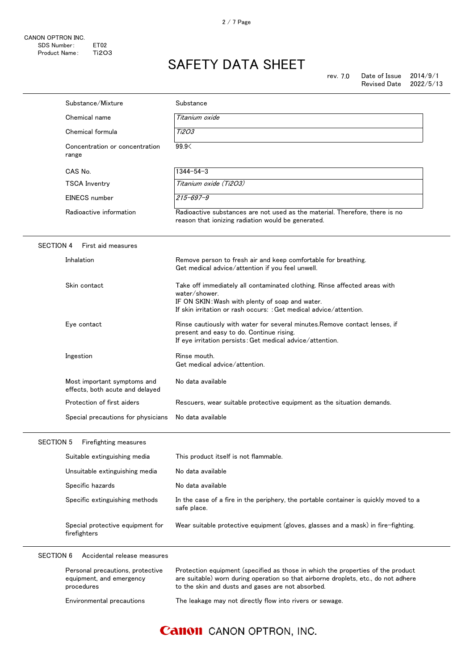|                  | Substance/Mixture                                                          | Substance                                                                                                                                                                                                                  |
|------------------|----------------------------------------------------------------------------|----------------------------------------------------------------------------------------------------------------------------------------------------------------------------------------------------------------------------|
|                  | Chemical name                                                              | Titanium oxide                                                                                                                                                                                                             |
|                  | Chemical formula                                                           | Ti2O3                                                                                                                                                                                                                      |
|                  | Concentration or concentration<br>range                                    | 99.9<                                                                                                                                                                                                                      |
|                  | CAS No.                                                                    | $1344 - 54 - 3$                                                                                                                                                                                                            |
|                  | <b>TSCA Inventry</b>                                                       | Titanium oxide (Ti2O3)                                                                                                                                                                                                     |
|                  | EINECS number                                                              | $215 - 697 - 9$                                                                                                                                                                                                            |
|                  | Radioactive information                                                    | Radioactive substances are not used as the material. Therefore, there is no<br>reason that ionizing radiation would be generated.                                                                                          |
| <b>SECTION 4</b> | First aid measures                                                         |                                                                                                                                                                                                                            |
|                  | Inhalation                                                                 | Remove person to fresh air and keep comfortable for breathing.<br>Get medical advice/attention if you feel unwell.                                                                                                         |
|                  | Skin contact                                                               | Take off immediately all contaminated clothing. Rinse affected areas with<br>water/shower.<br>IF ON SKIN: Wash with plenty of soap and water.<br>If skin irritation or rash occurs: : Get medical advice/attention.        |
|                  | Eye contact                                                                | Rinse cautiously with water for several minutes. Remove contact lenses, if<br>present and easy to do. Continue rising.<br>If eye irritation persists: Get medical advice/attention.                                        |
|                  | Ingestion                                                                  | Rinse mouth.<br>Get medical advice/attention.                                                                                                                                                                              |
|                  | Most important symptoms and<br>effects, both acute and delayed             | No data available                                                                                                                                                                                                          |
|                  | Protection of first aiders                                                 | Rescuers, wear suitable protective equipment as the situation demands.                                                                                                                                                     |
|                  | Special precautions for physicians                                         | No data available                                                                                                                                                                                                          |
| SECTION 5        | Firefighting measures                                                      |                                                                                                                                                                                                                            |
|                  | Suitable extinguishing media                                               | This product itself is not flammable.                                                                                                                                                                                      |
|                  | Unsuitable extinguishing media                                             | No data available                                                                                                                                                                                                          |
|                  | Specific hazards                                                           | No data available                                                                                                                                                                                                          |
|                  | Specific extinguishing methods                                             | In the case of a fire in the periphery, the portable container is quickly moved to a<br>safe place.                                                                                                                        |
|                  | Special protective equipment for<br>firefighters                           | Wear suitable protective equipment (gloves, glasses and a mask) in fire-fighting.                                                                                                                                          |
| <b>SECTION 6</b> | Accidental release measures                                                |                                                                                                                                                                                                                            |
|                  | Personal precautions, protective<br>equipment, and emergency<br>procedures | Protection equipment (specified as those in which the properties of the product<br>are suitable) worn during operation so that airborne droplets, etc., do not adhere<br>to the skin and dusts and gases are not absorbed. |
|                  | Environmental precautions                                                  | The leakage may not directly flow into rivers or sewage.                                                                                                                                                                   |

### **Canon** CANON OPTRON, INC.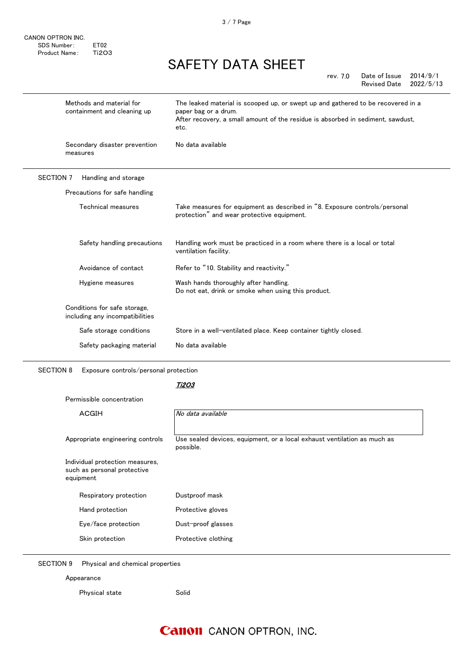CANON OPTRON INC. SDS Number: ET02<br>Product Name: Ti2O3 Product Name:

## SAFETY DATA SHEET

rev. 7.0

Date of Issue 2014/9/1 Revised Date 2022/5/13

|                  | Methods and material for<br>containment and cleaning up         | The leaked material is scooped up, or swept up and gathered to be recovered in a<br>paper bag or a drum.<br>After recovery, a small amount of the residue is absorbed in sediment, sawdust,<br>etc. |
|------------------|-----------------------------------------------------------------|-----------------------------------------------------------------------------------------------------------------------------------------------------------------------------------------------------|
|                  | Secondary disaster prevention<br>measures                       | No data available                                                                                                                                                                                   |
| <b>SECTION 7</b> | Handling and storage                                            |                                                                                                                                                                                                     |
|                  | Precautions for safe handling                                   |                                                                                                                                                                                                     |
|                  | Technical measures                                              | Take measures for equipment as described in "8. Exposure controls/personal<br>protection" and wear protective equipment.                                                                            |
|                  | Safety handling precautions                                     | Handling work must be practiced in a room where there is a local or total<br>ventilation facility.                                                                                                  |
|                  | Avoidance of contact                                            | Refer to "10. Stability and reactivity."                                                                                                                                                            |
|                  | Hygiene measures                                                | Wash hands thoroughly after handling.<br>Do not eat, drink or smoke when using this product.                                                                                                        |
|                  | Conditions for safe storage,<br>including any incompatibilities |                                                                                                                                                                                                     |
|                  | Safe storage conditions                                         | Store in a well-ventilated place. Keep container tightly closed.                                                                                                                                    |
|                  | Safety packaging material                                       | No data available                                                                                                                                                                                   |
|                  |                                                                 |                                                                                                                                                                                                     |

SECTION 8 Exposure controls/personal protection

#### Ti2O3

Permissible concentration

| <b>ACGIH</b>                                                                | No data available                                                                     |
|-----------------------------------------------------------------------------|---------------------------------------------------------------------------------------|
| Appropriate engineering controls                                            | Use sealed devices, equipment, or a local exhaust ventilation as much as<br>possible. |
| Individual protection measures,<br>such as personal protective<br>equipment |                                                                                       |
| Respiratory protection                                                      | Dustproof mask                                                                        |
| Hand protection                                                             | Protective gloves                                                                     |
| Eye/face protection                                                         | Dust-proof glasses                                                                    |
| Skin protection                                                             | Protective clothing                                                                   |
|                                                                             |                                                                                       |

SECTION 9 Physical and chemical properties

Appearance

Physical state Solid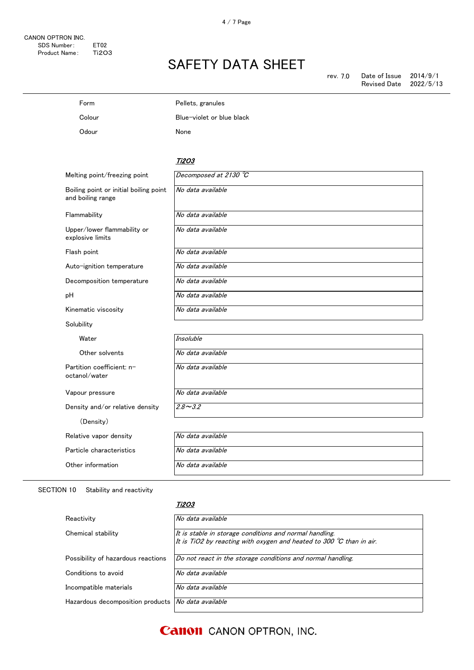| Form                                                        | Pellets, granules         |
|-------------------------------------------------------------|---------------------------|
| Colour                                                      | Blue-violet or blue black |
| Odour                                                       | None                      |
|                                                             |                           |
|                                                             | Ti2O3                     |
| Melting point/freezing point                                | Decomposed at 2130 °C     |
| Boiling point or initial boiling point<br>and boiling range | No data available         |
| Flammability                                                | No data available         |
| Upper/lower flammability or<br>explosive limits             | No data available         |
|                                                             |                           |

Flash point  $\overline{N}$ o data available

Auto-ignition temperature No data available

Decomposition temperature | No data available

pH No data available

Kinematic viscosity No data available

Solubility

Water

Other solvents

Partition coefficient: noctanol/water

Vapour pressure

Density and/or relative density

Particle characteristics No data available Other information No data available

| No data available |  |  |
|-------------------|--|--|
| No data available |  |  |
| No data available |  |  |
| $2.8 - 3.2$       |  |  |
|                   |  |  |

SECTION 10 Stability and reactivity

(Density) Relative vapor density

#### Ti2O3

| Reactivity                                                | No data available                                                                                                                        |
|-----------------------------------------------------------|------------------------------------------------------------------------------------------------------------------------------------------|
| Chemical stability                                        | It is stable in storage conditions and normal handling.<br>It is TiO2 by reacting with oxygen and heated to 300 $\degree$ C than in air. |
| Possibility of hazardous reactions                        | Do not react in the storage conditions and normal handling.                                                                              |
| Conditions to avoid                                       | No data available                                                                                                                        |
| Incompatible materials                                    | No data available                                                                                                                        |
| Hazardous decomposition products <i>No data available</i> |                                                                                                                                          |

**Canon** CANON OPTRON, INC.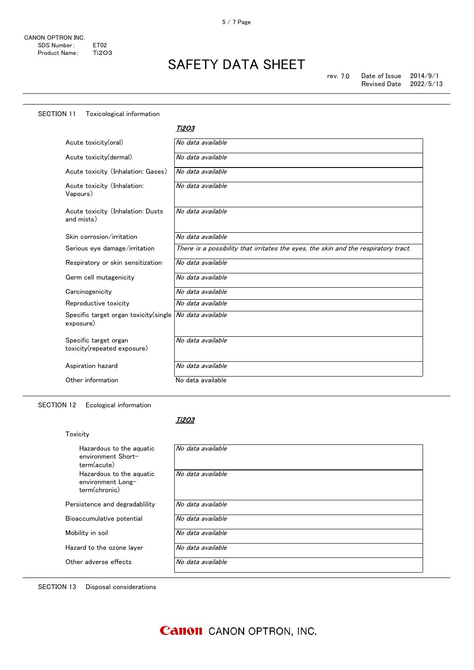| <b>SECTION 11</b><br>Toxicological information       |                                                                                     |
|------------------------------------------------------|-------------------------------------------------------------------------------------|
|                                                      | <b>Ti2O3</b>                                                                        |
| Acute toxicity(oral)                                 | No data available                                                                   |
| Acute toxicity(dermal)                               | No data available                                                                   |
| Acute toxicity (Inhalation: Gases)                   | No data available                                                                   |
| Acute toxicity (Inhalation:<br>Vapours)              | No data available                                                                   |
| Acute toxicity (Inhalation: Dusts<br>and mists)      | No data available                                                                   |
| Skin corrosion/irritation                            | No data available                                                                   |
| Serious eye damage/irritation                        | There is a possibility that irritates the eyes, the skin and the respiratory tract. |
| Respiratory or skin sensitization                    | No data available                                                                   |
| Germ cell mutagenicity                               | No data available                                                                   |
| Carcinogenicity                                      | No data available                                                                   |
| Reproductive toxicity                                | No data available                                                                   |
| Specific target organ toxicity (single<br>exposure)  | No data available                                                                   |
| Specific target organ<br>toxicity(repeated exposure) | No data available                                                                   |
| Aspiration hazard                                    | No data available                                                                   |
| Other information                                    | No data available                                                                   |

SECTION 12 Ecological information

#### Ti2O3

| Toxicity                                                       |                   |
|----------------------------------------------------------------|-------------------|
| Hazardous to the aguatic<br>environment Short-<br>term(acute)  | No data available |
| Hazardous to the aguatic<br>environment Long-<br>term(chronic) | No data available |
| Persistence and degradability                                  | No data available |
| Bioaccumulative potential                                      | No data available |
| Mobility in soil                                               | No data available |
| Hazard to the ozone layer                                      | No data available |
| Other adverse effects                                          | No data available |

SECTION 13 Disposal considerations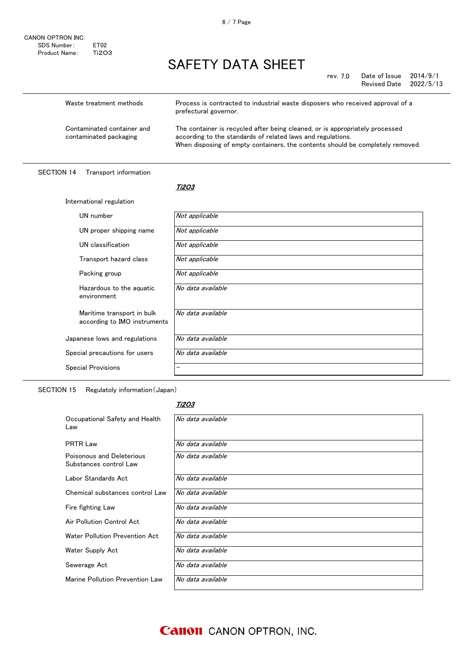rev. 7.0 Date of Issue 2014/9/1 Revised Date 2022/5/13

| Waste treatment methods                              | Process is contracted to industrial waste disposers who received approval of a<br>prefectural governor.                                                                                                                       |
|------------------------------------------------------|-------------------------------------------------------------------------------------------------------------------------------------------------------------------------------------------------------------------------------|
| Contaminated container and<br>contaminated packaging | The container is recycled after being cleaned, or is appropriately processed<br>according to the standards of related laws and regulations.<br>When disposing of empty containers, the contents should be completely removed. |

#### SECTION 14 Transport information

#### <u>Ti2O3</u>

| International regulation                                   |                   |  |
|------------------------------------------------------------|-------------------|--|
| UN number                                                  | Not applicable    |  |
| UN proper shipping name                                    | Not applicable    |  |
| UN classification                                          | Not applicable    |  |
| Transport hazard class                                     | Not applicable    |  |
| Packing group                                              | Not applicable    |  |
| Hazardous to the aquatic<br>environment                    | No data available |  |
| Maritime transport in bulk<br>according to IMO instruments | No data available |  |
| Japanese lows and regulations                              | No data available |  |
| Special precautions for users                              | No data available |  |
| <b>Special Provisions</b>                                  |                   |  |

SECTION 15 Regulatoly information(Japan)

#### Ti2O3

| Occupational Safety and Health<br>Law               | No data available |
|-----------------------------------------------------|-------------------|
| <b>PRTR Law</b>                                     | No data available |
| Poisonous and Deleterious<br>Substances control Law | No data available |
| Labor Standards Act                                 | No data available |
| Chemical substances control Law                     | No data available |
| Fire fighting Law                                   | No data available |
| Air Pollution Control Act                           | No data available |
| Water Pollution Prevention Act                      | No data available |
| Water Supply Act                                    | No data available |
| Sewerage Act                                        | No data available |
| Marine Pollution Prevention Law                     | No data available |